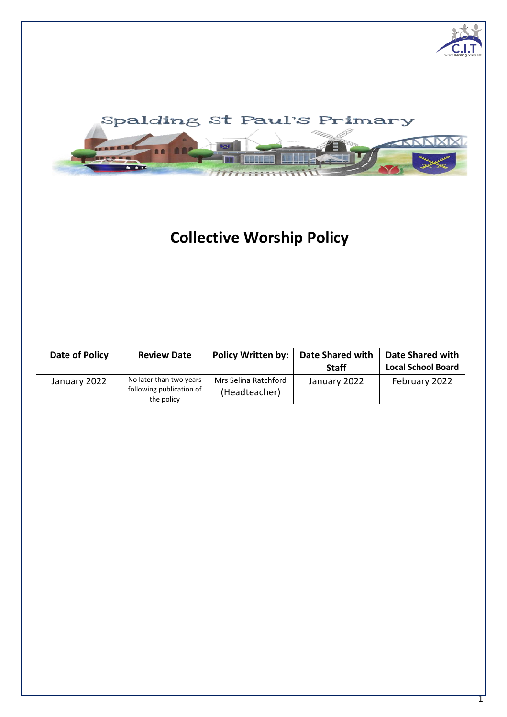

# **Collective Worship Policy**

| Date of Policy | <b>Review Date</b>                                                | Policy Written by:                    | <b>Date Shared with</b><br><b>Staff</b> | <b>Date Shared with</b><br><b>Local School Board</b> |
|----------------|-------------------------------------------------------------------|---------------------------------------|-----------------------------------------|------------------------------------------------------|
| January 2022   | No later than two years<br>following publication of<br>the policy | Mrs Selina Ratchford<br>(Headteacher) | January 2022                            | February 2022                                        |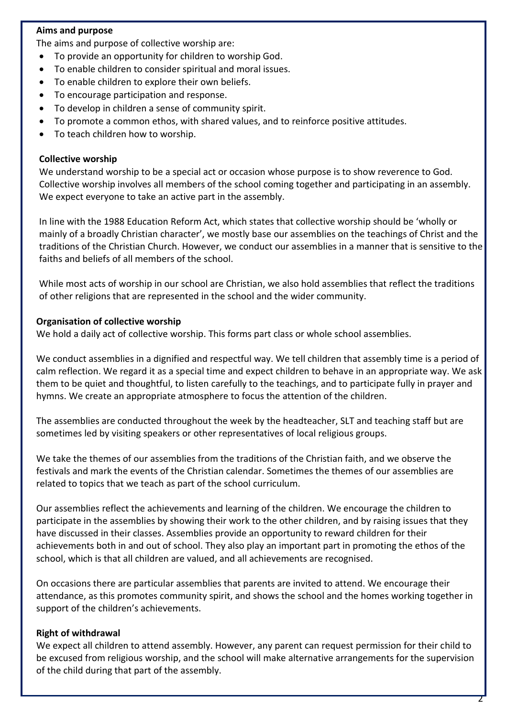## **Aims and purpose**

The aims and purpose of collective worship are:

- To provide an opportunity for children to worship God.
- To enable children to consider spiritual and moral issues.
- To enable children to explore their own beliefs.
- To encourage participation and response.
- To develop in children a sense of community spirit.
- To promote a common ethos, with shared values, and to reinforce positive attitudes.
- To teach children how to worship.

#### **Collective worship**

We understand worship to be a special act or occasion whose purpose is to show reverence to God. Collective worship involves all members of the school coming together and participating in an assembly. We expect everyone to take an active part in the assembly.

In line with the 1988 Education Reform Act, which states that collective worship should be 'wholly or mainly of a broadly Christian character', we mostly base our assemblies on the teachings of Christ and the traditions of the Christian Church. However, we conduct our assemblies in a manner that is sensitive to the faiths and beliefs of all members of the school.

While most acts of worship in our school are Christian, we also hold assemblies that reflect the traditions of other religions that are represented in the school and the wider community.

#### **Organisation of collective worship**

We hold a daily act of collective worship. This forms part class or whole school assemblies.

We conduct assemblies in a dignified and respectful way. We tell children that assembly time is a period of calm reflection. We regard it as a special time and expect children to behave in an appropriate way. We ask them to be quiet and thoughtful, to listen carefully to the teachings, and to participate fully in prayer and hymns. We create an appropriate atmosphere to focus the attention of the children.

The assemblies are conducted throughout the week by the headteacher, SLT and teaching staff but are sometimes led by visiting speakers or other representatives of local religious groups.

We take the themes of our assemblies from the traditions of the Christian faith, and we observe the festivals and mark the events of the Christian calendar. Sometimes the themes of our assemblies are related to topics that we teach as part of the school curriculum.

Our assemblies reflect the achievements and learning of the children. We encourage the children to participate in the assemblies by showing their work to the other children, and by raising issues that they have discussed in their classes. Assemblies provide an opportunity to reward children for their achievements both in and out of school. They also play an important part in promoting the ethos of the school, which is that all children are valued, and all achievements are recognised.

On occasions there are particular assemblies that parents are invited to attend. We encourage their attendance, as this promotes community spirit, and shows the school and the homes working together in support of the children's achievements.

### **Right of withdrawal**

We expect all children to attend assembly. However, any parent can request permission for their child to be excused from religious worship, and the school will make alternative arrangements for the supervision of the child during that part of the assembly.